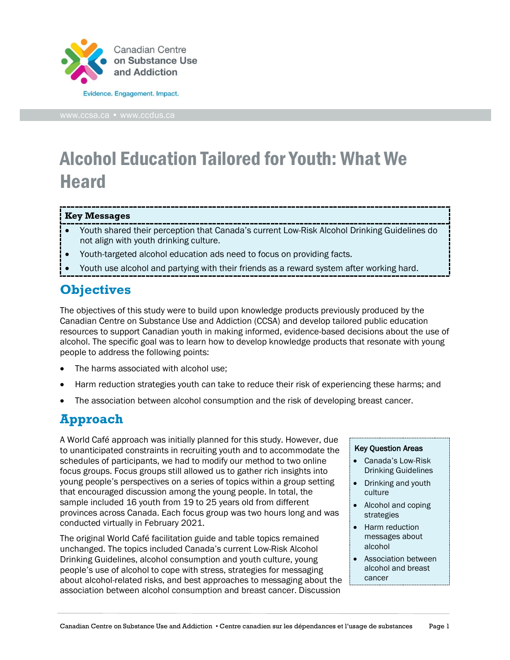

# Alcohol Education Tailored for Youth: What We **Heard**

#### **Key Messages**

- Youth shared their perception that Canada's current Low-Risk Alcohol Drinking Guidelines do not align with youth drinking culture.
- Youth-targeted alcohol education ads need to focus on providing facts.
- Youth use alcohol and partying with their friends as a reward system after working hard.

## **Objectives**

The objectives of this study were to build upon knowledge products previously produced by the Canadian Centre on Substance Use and Addiction (CCSA) and develop tailored public education resources to support Canadian youth in making informed, evidence-based decisions about the use of alcohol. The specific goal was to learn how to develop knowledge products that resonate with young people to address the following points:

- The harms associated with alcohol use:
- Harm reduction strategies youth can take to reduce their risk of experiencing these harms; and
- The association between alcohol consumption and the risk of developing breast cancer.

## **Approach**

A World Café approach was initially planned for this study. However, due to unanticipated constraints in recruiting youth and to accommodate the schedules of participants, we had to modify our method to two online focus groups. Focus groups still allowed us to gather rich insights into young people's perspectives on a series of topics within a group setting that encouraged discussion among the young people. In total, the sample included 16 youth from 19 to 25 years old from different provinces across Canada. Each focus group was two hours long and was conducted virtually in February 2021.

The original World Café facilitation guide and table topics remained unchanged. The topics included Canada's current Low-Risk Alcohol Drinking Guidelines, alcohol consumption and youth culture, young people's use of alcohol to cope with stress, strategies for messaging about alcohol-related risks, and best approaches to messaging about the association between alcohol consumption and breast cancer. Discussion

#### Key Question Areas

- Canada's Low-Risk Drinking Guidelines
- Drinking and youth culture
- Alcohol and coping strategies
- Harm reduction messages about alcohol
- Association between alcohol and breast cancer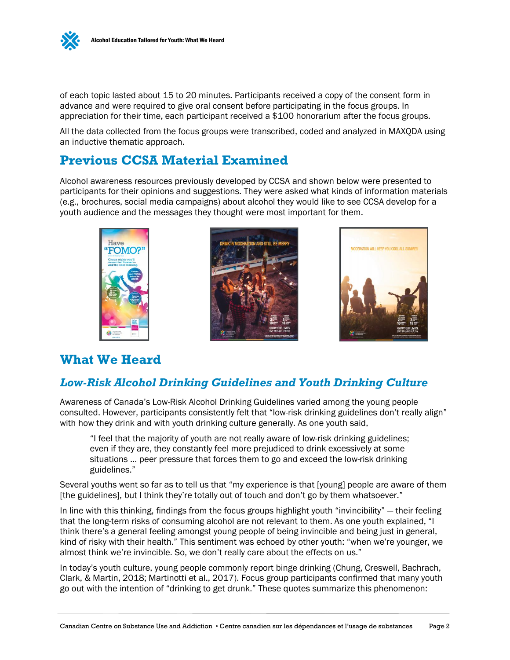

of each topic lasted about 15 to 20 minutes. Participants received a copy of the consent form in advance and were required to give oral consent before participating in the focus groups. In appreciation for their time, each participant received a \$100 honorarium after the focus groups.

All the data collected from the focus groups were transcribed, coded and analyzed in MAXQDA using an inductive thematic approach.

### **Previous CCSA Material Examined**

Alcohol awareness resources previously developed by CCSA and shown below were presented to participants for their opinions and suggestions. They were asked what kinds of information materials (e.g., brochures, social media campaigns) about alcohol they would like to see CCSA develop for a youth audience and the messages they thought were most important for them.





### **What We Heard**

Have

#### *Low-Risk Alcohol Drinking Guidelines and Youth Drinking Culture*

Awareness of Canada's Low-Risk Alcohol Drinking Guidelines varied among the young people consulted. However, participants consistently felt that "low-risk drinking guidelines don't really align" with how they drink and with youth drinking culture generally. As one youth said,

"I feel that the majority of youth are not really aware of low-risk drinking guidelines; even if they are, they constantly feel more prejudiced to drink excessively at some situations ... peer pressure that forces them to go and exceed the low-risk drinking guidelines."

Several youths went so far as to tell us that "my experience is that [young] people are aware of them [the guidelines], but I think they're totally out of touch and don't go by them whatsoever."

In line with this thinking, findings from the focus groups highlight youth "invincibility" — their feeling that the long-term risks of consuming alcohol are not relevant to them. As one youth explained, "I think there's a general feeling amongst young people of being invincible and being just in general, kind of risky with their health." This sentiment was echoed by other youth: "when we're younger, we almost think we're invincible. So, we don't really care about the effects on us."

In today's youth culture, young people commonly report binge drinking (Chung, Creswell, Bachrach, Clark, & Martin, 2018; Martinotti et al., 2017). Focus group participants confirmed that many youth go out with the intention of "drinking to get drunk." These quotes summarize this phenomenon: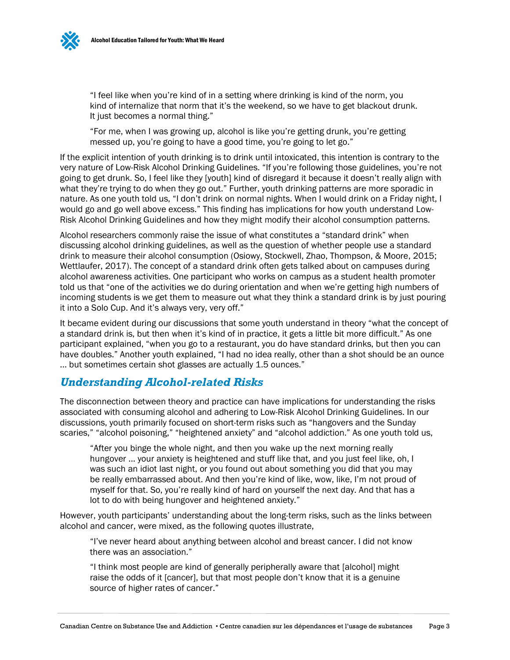

"I feel like when you're kind of in a setting where drinking is kind of the norm, you kind of internalize that norm that it's the weekend, so we have to get blackout drunk. It just becomes a normal thing."

"For me, when I was growing up, alcohol is like you're getting drunk, you're getting messed up, you're going to have a good time, you're going to let go."

If the explicit intention of youth drinking is to drink until intoxicated, this intention is contrary to the very nature of Low-Risk Alcohol Drinking Guidelines. "If you're following those guidelines, you're not going to get drunk. So, I feel like they [youth] kind of disregard it because it doesn't really align with what they're trying to do when they go out." Further, youth drinking patterns are more sporadic in nature. As one youth told us, "I don't drink on normal nights. When I would drink on a Friday night, I would go and go well above excess." This finding has implications for how youth understand Low-Risk Alcohol Drinking Guidelines and how they might modify their alcohol consumption patterns.

Alcohol researchers commonly raise the issue of what constitutes a "standard drink" when discussing alcohol drinking guidelines, as well as the question of whether people use a standard drink to measure their alcohol consumption (Osiowy, Stockwell, Zhao, Thompson, & Moore, 2015; Wettlaufer, 2017). The concept of a standard drink often gets talked about on campuses during alcohol awareness activities. One participant who works on campus as a student health promoter told us that "one of the activities we do during orientation and when we're getting high numbers of incoming students is we get them to measure out what they think a standard drink is by just pouring it into a Solo Cup. And it's always very, very off."

It became evident during our discussions that some youth understand in theory "what the concept of a standard drink is, but then when it's kind of in practice, it gets a little bit more difficult." As one participant explained, "when you go to a restaurant, you do have standard drinks, but then you can have doubles." Another youth explained, "I had no idea really, other than a shot should be an ounce ... but sometimes certain shot glasses are actually 1.5 ounces."

#### *Understanding Alcohol-related Risks*

The disconnection between theory and practice can have implications for understanding the risks associated with consuming alcohol and adhering to Low-Risk Alcohol Drinking Guidelines. In our discussions, youth primarily focused on short-term risks such as "hangovers and the Sunday scaries," "alcohol poisoning," "heightened anxiety" and "alcohol addiction." As one youth told us,

"After you binge the whole night, and then you wake up the next morning really hungover ... your anxiety is heightened and stuff like that, and you just feel like, oh, I was such an idiot last night, or you found out about something you did that you may be really embarrassed about. And then you're kind of like, wow, like, I'm not proud of myself for that. So, you're really kind of hard on yourself the next day. And that has a lot to do with being hungover and heightened anxiety."

However, youth participants' understanding about the long-term risks, such as the links between alcohol and cancer, were mixed, as the following quotes illustrate,

"I've never heard about anything between alcohol and breast cancer. I did not know there was an association."

"I think most people are kind of generally peripherally aware that [alcohol] might raise the odds of it [cancer], but that most people don't know that it is a genuine source of higher rates of cancer."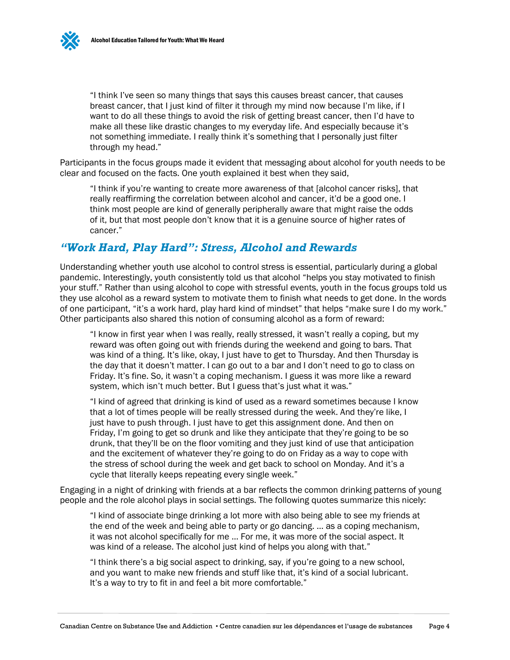"I think I've seen so many things that says this causes breast cancer, that causes breast cancer, that I just kind of filter it through my mind now because I'm like, if I want to do all these things to avoid the risk of getting breast cancer, then I'd have to make all these like drastic changes to my everyday life. And especially because it's not something immediate. I really think it's something that I personally just filter through my head."

Participants in the focus groups made it evident that messaging about alcohol for youth needs to be clear and focused on the facts. One youth explained it best when they said,

"I think if you're wanting to create more awareness of that [alcohol cancer risks], that really reaffirming the correlation between alcohol and cancer, it'd be a good one. I think most people are kind of generally peripherally aware that might raise the odds of it, but that most people don't know that it is a genuine source of higher rates of cancer."

#### *"Work Hard, Play Hard": Stress, Alcohol and Rewards*

Understanding whether youth use alcohol to control stress is essential, particularly during a global pandemic. Interestingly, youth consistently told us that alcohol "helps you stay motivated to finish your stuff." Rather than using alcohol to cope with stressful events, youth in the focus groups told us they use alcohol as a reward system to motivate them to finish what needs to get done. In the words of one participant, "it's a work hard, play hard kind of mindset" that helps "make sure I do my work." Other participants also shared this notion of consuming alcohol as a form of reward:

"I know in first year when I was really, really stressed, it wasn't really a coping, but my reward was often going out with friends during the weekend and going to bars. That was kind of a thing. It's like, okay, I just have to get to Thursday. And then Thursday is the day that it doesn't matter. I can go out to a bar and I don't need to go to class on Friday. It's fine. So, it wasn't a coping mechanism. I guess it was more like a reward system, which isn't much better. But I guess that's just what it was."

"I kind of agreed that drinking is kind of used as a reward sometimes because I know that a lot of times people will be really stressed during the week. And they're like, I just have to push through. I just have to get this assignment done. And then on Friday, I'm going to get so drunk and like they anticipate that they're going to be so drunk, that they'll be on the floor vomiting and they just kind of use that anticipation and the excitement of whatever they're going to do on Friday as a way to cope with the stress of school during the week and get back to school on Monday. And it's a cycle that literally keeps repeating every single week."

Engaging in a night of drinking with friends at a bar reflects the common drinking patterns of young people and the role alcohol plays in social settings. The following quotes summarize this nicely:

"I kind of associate binge drinking a lot more with also being able to see my friends at the end of the week and being able to party or go dancing. … as a coping mechanism, it was not alcohol specifically for me … For me, it was more of the social aspect. It was kind of a release. The alcohol just kind of helps you along with that."

"I think there's a big social aspect to drinking, say, if you're going to a new school, and you want to make new friends and stuff like that, it's kind of a social lubricant. It's a way to try to fit in and feel a bit more comfortable."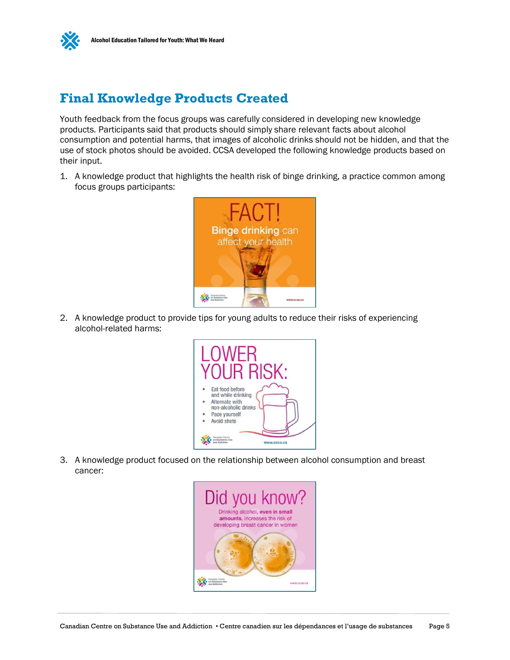

## **Final Knowledge Products Created**

Youth feedback from the focus groups was carefully considered in developing new knowledge products. Participants said that products should simply share relevant facts about alcohol consumption and potential harms, that images of alcoholic drinks should not be hidden, and that the use of stock photos should be avoided. CCSA developed the following knowledge products based on their input.

1. A knowledge product that highlights the health risk of binge drinking, a practice common among focus groups participants:



2. A knowledge product to provide tips for young adults to reduce their risks of experiencing alcohol-related harms:



3. A knowledge product focused on the relationship between alcohol consumption and breast cancer:

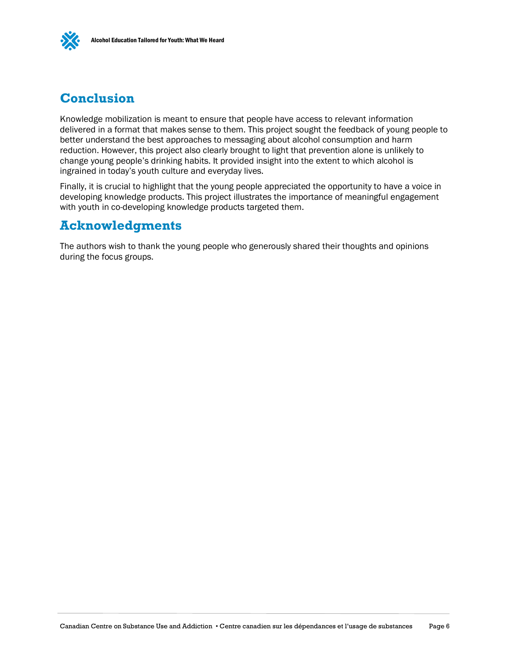

## **Conclusion**

Knowledge mobilization is meant to ensure that people have access to relevant information delivered in a format that makes sense to them. This project sought the feedback of young people to better understand the best approaches to messaging about alcohol consumption and harm reduction. However, this project also clearly brought to light that prevention alone is unlikely to change young people's drinking habits. It provided insight into the extent to which alcohol is ingrained in today's youth culture and everyday lives.

Finally, it is crucial to highlight that the young people appreciated the opportunity to have a voice in developing knowledge products. This project illustrates the importance of meaningful engagement with youth in co-developing knowledge products targeted them.

## **Acknowledgments**

The authors wish to thank the young people who generously shared their thoughts and opinions during the focus groups.